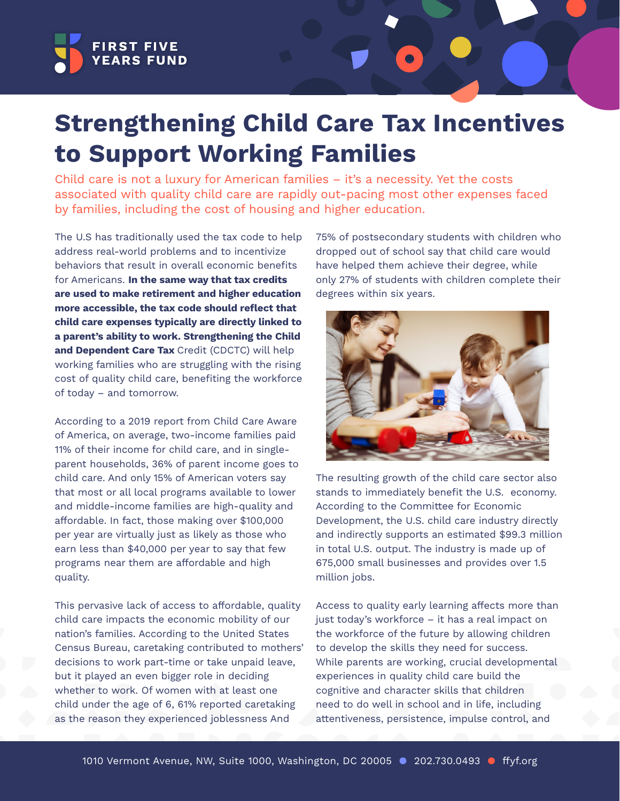

# **Strengthening Child Care Tax Incentives to Support Working Families**

Child care is not a luxury for American families – it's a necessity. Yet the costs associated with quality child care are rapidly out-pacing most other expenses faced by families, including the cost of housing and higher education.

The U.S has traditionally used the tax code to help address real-world problems and to incentivize behaviors that result in overall economic benefits for Americans. **In the same way that tax credits are used to make retirement and higher education more accessible, the tax code should reflect that child care expenses typically are directly linked to a parent's ability to work. Strengthening the Child and Dependent Care Tax** Credit (CDCTC) will help working families who are struggling with the rising cost of quality child care, benefiting the workforce of today – and tomorrow.

According to a 2019 report from Child Care Aware of America, on average, two-income families paid 11% of their income for child care, and in singleparent households, 36% of parent income goes to child care. And only 15% of American voters say that most or all local programs available to lower and middle-income families are high-quality and affordable. In fact, those making over \$100,000 per year are virtually just as likely as those who earn less than \$40,000 per year to say that few programs near them are affordable and high quality.

This pervasive lack of access to affordable, quality child care impacts the economic mobility of our nation's families. According to the United States Census Bureau, caretaking contributed to mothers' decisions to work part-time or take unpaid leave, but it played an even bigger role in deciding whether to work. Of women with at least one child under the age of 6, 61% reported caretaking as the reason they experienced joblessness And

75% of postsecondary students with children who dropped out of school say that child care would have helped them achieve their degree, while only 27% of students with children complete their degrees within six years.



The resulting growth of the child care sector also stands to immediately benefit the U.S. economy. According to the Committee for Economic Development, the U.S. child care industry directly and indirectly supports an estimated \$99.3 million in total U.S. output. The industry is made up of 675,000 small businesses and provides over 1.5 million jobs.

Access to quality early learning affects more than just today's workforce – it has a real impact on the workforce of the future by allowing children to develop the skills they need for success. While parents are working, crucial developmental experiences in quality child care build the cognitive and character skills that children need to do well in school and in life, including attentiveness, persistence, impulse control, and